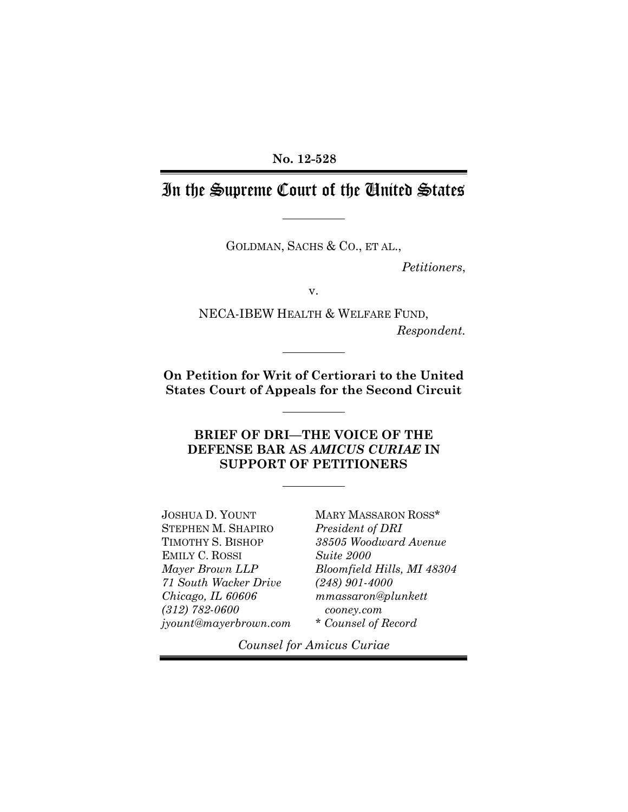#### **No. 12-528**

## In the Supreme Court of the United States

GOLDMAN, SACHS & CO., ET AL.,

*Petitioners*,

v.

NECA-IBEW HEALTH & WELFARE FUND, *Respondent.*

**On Petition for Writ of Certiorari to the United States Court of Appeals for the Second Circuit**

### **BRIEF OF DRI—THE VOICE OF THE DEFENSE BAR AS** *AMICUS CURIAE* **IN SUPPORT OF PETITIONERS**

JOSHUA D. YOUNT STEPHEN M. SHAPIRO TIMOTHY S. BISHOP EMILY C. ROSSI *Mayer Brown LLP 71 South Wacker Drive Chicago, IL 60606 (312) 782-0600 jyount@mayerbrown.com* MARY MASSARON ROSS\* *President of DRI 38505 Woodward Avenue Suite 2000 Bloomfield Hills, MI 48304 (248) 901-4000 mmassaron@plunkett cooney.com \* Counsel of Record*

*Counsel for Amicus Curiae*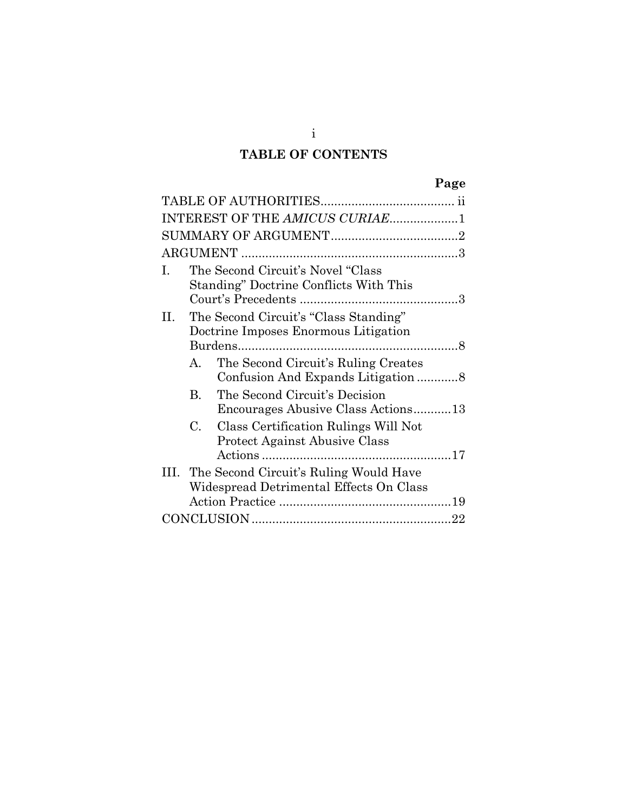### **TABLE OF CONTENTS**

|      |             |                                                                                        | Page |
|------|-------------|----------------------------------------------------------------------------------------|------|
|      |             |                                                                                        |      |
|      |             | INTEREST OF THE AMICUS CURIAE1                                                         |      |
|      |             |                                                                                        |      |
|      |             |                                                                                        |      |
| Ī.   |             | The Second Circuit's Novel "Class"<br>Standing" Doctrine Conflicts With This           |      |
| Н. - |             | The Second Circuit's "Class Standing"<br>Doctrine Imposes Enormous Litigation          |      |
|      | A.          | The Second Circuit's Ruling Creates                                                    |      |
|      | $\bf{B}$    | The Second Circuit's Decision<br>Encourages Abusive Class Actions13                    |      |
|      | $C_{\cdot}$ | Class Certification Rulings Will Not<br><b>Protect Against Abusive Class</b>           |      |
|      |             | III. The Second Circuit's Ruling Would Have<br>Widespread Detrimental Effects On Class |      |
|      |             |                                                                                        |      |
|      |             |                                                                                        |      |

i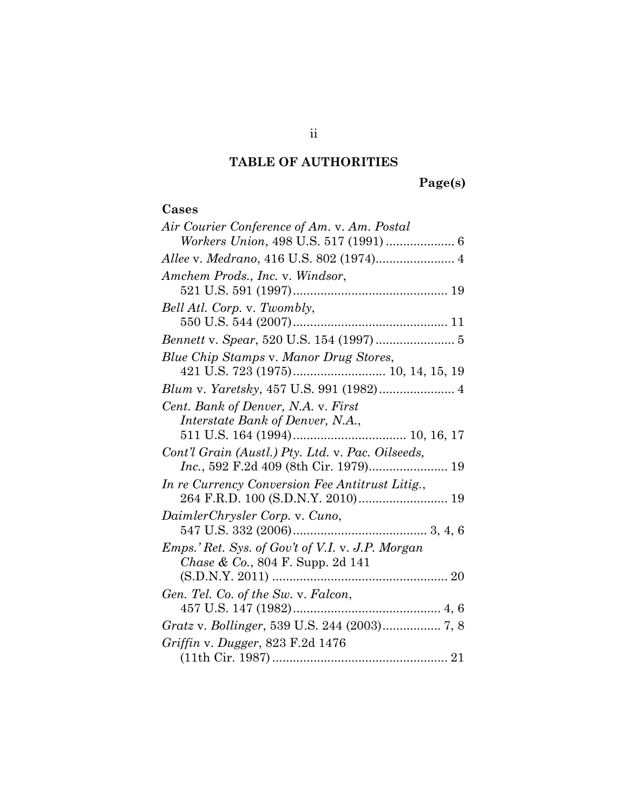# **TABLE OF AUTHORITIES**

# **Page(s)**

### **Cases**

| Air Courier Conference of Am. v. Am. Postal       |
|---------------------------------------------------|
| Workers Union, 498 U.S. 517 (1991)  6             |
|                                                   |
| Amchem Prods., Inc. v. Windsor,                   |
|                                                   |
| Bell Atl. Corp. v. Twombly,                       |
|                                                   |
| Bennett v. Spear, 520 U.S. 154 (1997)  5          |
| Blue Chip Stamps v. Manor Drug Stores,            |
|                                                   |
| Blum v. Yaretsky, 457 U.S. 991 (1982) 4           |
| Cent. Bank of Denver, N.A. v. First               |
| Interstate Bank of Denver, N.A.,                  |
|                                                   |
| Cont'l Grain (Austl.) Pty. Ltd. v. Pac. Oilseeds, |
| Inc., 592 F.2d 409 (8th Cir. 1979) 19             |
| In re Currency Conversion Fee Antitrust Litig.,   |
|                                                   |
| DaimlerChrysler Corp. v. Cuno,                    |
|                                                   |
| Emps.' Ret. Sys. of Gov't of V.I. v. J.P. Morgan  |
| Chase & Co., 804 F. Supp. 2d 141                  |
|                                                   |
| Gen. Tel. Co. of the Sw. v. Falcon,               |
|                                                   |
|                                                   |
| Griffin v. Dugger, 823 F.2d 1476                  |
|                                                   |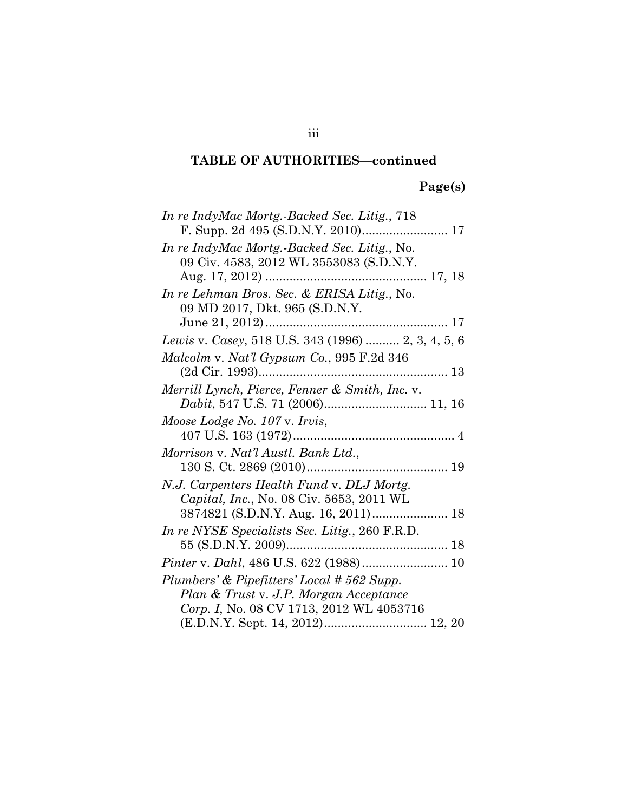# **Page(s)**

| In re IndyMac Mortg.-Backed Sec. Litig., 718       |
|----------------------------------------------------|
|                                                    |
| In re IndyMac Mortg.-Backed Sec. Litig., No.       |
| 09 Civ. 4583, 2012 WL 3553083 (S.D.N.Y.            |
|                                                    |
| In re Lehman Bros. Sec. & ERISA Litig., No.        |
| 09 MD 2017, Dkt. 965 (S.D.N.Y.                     |
|                                                    |
| Lewis v. Casey, 518 U.S. 343 (1996)  2, 3, 4, 5, 6 |
| Malcolm v. Nat'l Gypsum Co., 995 F.2d 346          |
|                                                    |
| Merrill Lynch, Pierce, Fenner & Smith, Inc. v.     |
|                                                    |
| Moose Lodge No. 107 v. Irvis,                      |
|                                                    |
| Morrison v. Nat'l Austl. Bank Ltd.,                |
|                                                    |
|                                                    |
| N.J. Carpenters Health Fund v. DLJ Mortg.          |
| Capital, Inc., No. 08 Civ. 5653, 2011 WL           |
| 3874821 (S.D.N.Y. Aug. 16, 2011) 18                |
|                                                    |
| In re NYSE Specialists Sec. Litig., 260 F.R.D.     |
| Pinter v. Dahl, 486 U.S. 622 (1988) 10             |
| Plumbers' & Pipefitters' Local #562 Supp.          |
| Plan & Trust v. J.P. Morgan Acceptance             |
| Corp. I, No. 08 CV 1713, 2012 WL 4053716           |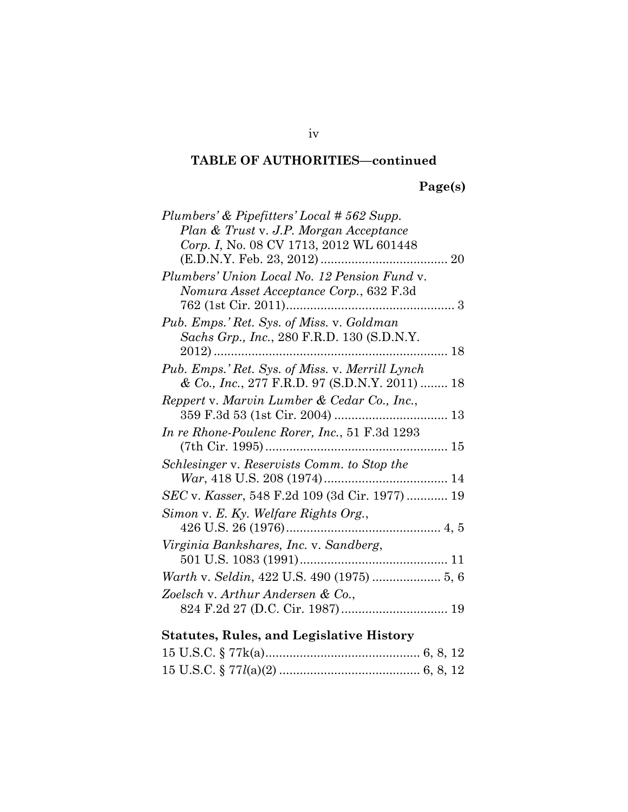### **Page(s)**

| Plumbers' & Pipefitters' Local #562 Supp.       |
|-------------------------------------------------|
| Plan & Trust v. J.P. Morgan Acceptance          |
| Corp. I, No. 08 CV 1713, 2012 WL 601448         |
|                                                 |
| Plumbers' Union Local No. 12 Pension Fund v.    |
| Nomura Asset Acceptance Corp., 632 F.3d         |
|                                                 |
| Pub. Emps.' Ret. Sys. of Miss. v. Goldman       |
| Sachs Grp., Inc., 280 F.R.D. 130 (S.D.N.Y.      |
|                                                 |
| Pub. Emps.' Ret. Sys. of Miss. v. Merrill Lynch |
| & Co., Inc., 277 F.R.D. 97 (S.D.N.Y. 2011)  18  |
| Reppert v. Marvin Lumber & Cedar Co., Inc.,     |
|                                                 |
| In re Rhone-Poulenc Rorer, Inc., 51 F.3d 1293   |
|                                                 |
| Schlesinger v. Reservists Comm. to Stop the     |
|                                                 |
| SEC v. Kasser, 548 F.2d 109 (3d Cir. 1977) 19   |
| Simon v. E. Ky. Welfare Rights Org.,            |
|                                                 |
| Virginia Bankshares, Inc. v. Sandberg,          |
|                                                 |
|                                                 |
| Zoelsch v. Arthur Andersen & Co.,               |
|                                                 |
|                                                 |

### **Statutes, Rules, and Legislative History**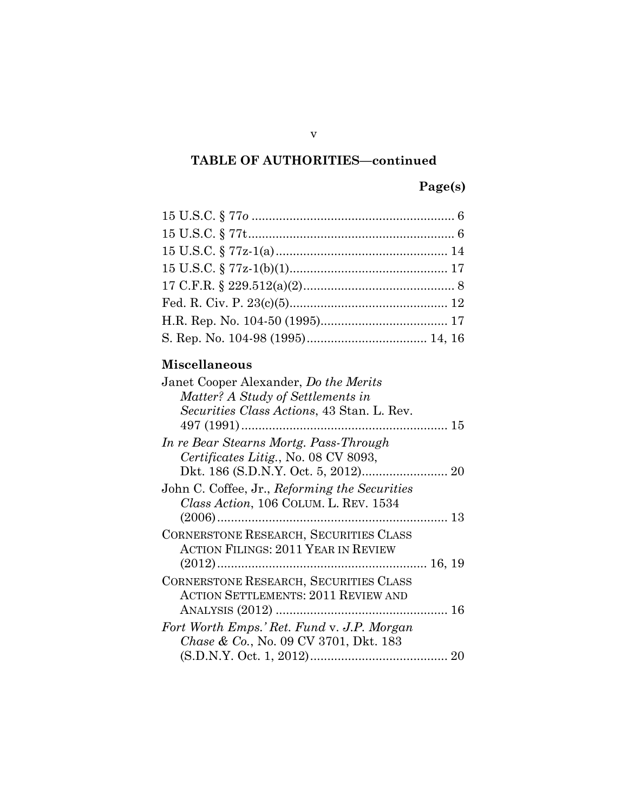### **Page(s)**

### **Miscellaneous**

| Janet Cooper Alexander, Do the Merits             |  |
|---------------------------------------------------|--|
| Matter? A Study of Settlements in                 |  |
| Securities Class Actions, 43 Stan. L. Rev.        |  |
|                                                   |  |
| In re Bear Stearns Mortg. Pass-Through            |  |
| Certificates Litig., No. 08 CV 8093,              |  |
|                                                   |  |
| John C. Coffee, Jr., Reforming the Securities     |  |
| Class Action, 106 COLUM. L. REV. 1534             |  |
|                                                   |  |
| <b>CORNERSTONE RESEARCH, SECURITIES CLASS</b>     |  |
| ACTION FILINGS: 2011 YEAR IN REVIEW               |  |
|                                                   |  |
| <b>CORNERSTONE RESEARCH, SECURITIES CLASS</b>     |  |
| <b>ACTION SETTLEMENTS: 2011 REVIEW AND</b>        |  |
|                                                   |  |
| Fort Worth Emps.' Ret. Fund v. J.P. Morgan        |  |
| <i>Chase &amp; Co.</i> , No. 09 CV 3701, Dkt. 183 |  |
|                                                   |  |
|                                                   |  |

v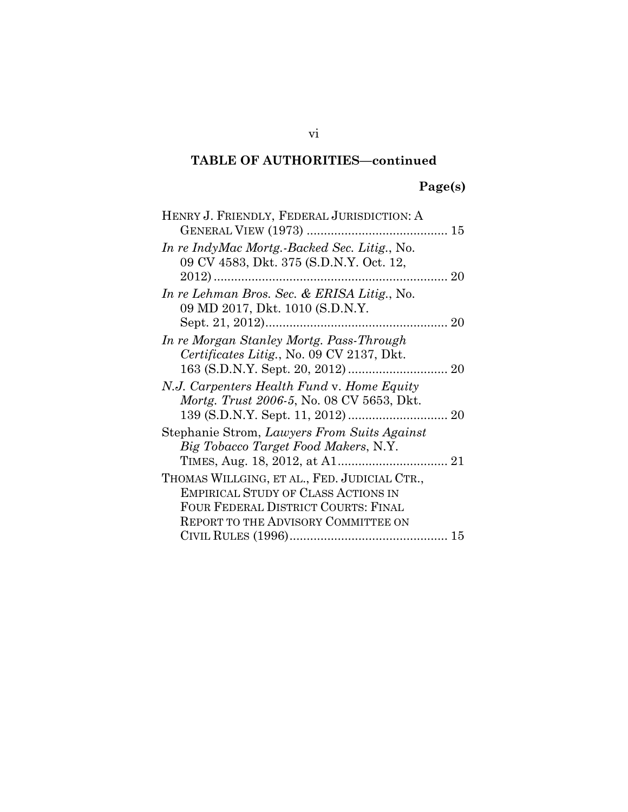### **Page(s)**

| HENRY J. FRIENDLY, FEDERAL JURISDICTION: A                                                     |    |
|------------------------------------------------------------------------------------------------|----|
|                                                                                                |    |
| In re IndyMac Mortg.-Backed Sec. Litig., No.<br>09 CV 4583, Dkt. 375 (S.D.N.Y. Oct. 12,        |    |
|                                                                                                | 20 |
| In re Lehman Bros. Sec. & ERISA Litig., No.<br>09 MD 2017, Dkt. 1010 (S.D.N.Y.                 |    |
|                                                                                                |    |
| In re Morgan Stanley Mortg. Pass-Through<br>Certificates Litig., No. 09 CV 2137, Dkt.          |    |
|                                                                                                |    |
| N.J. Carpenters Health Fund v. Home Equity<br><i>Mortg. Trust 2006-5, No. 08 CV 5653, Dkt.</i> |    |
| Stephanie Strom, Lawyers From Suits Against                                                    |    |
| Big Tobacco Target Food Makers, N.Y.                                                           |    |
| THOMAS WILLGING, ET AL., FED. JUDICIAL CTR.,                                                   |    |
| <b>EMPIRICAL STUDY OF CLASS ACTIONS IN</b>                                                     |    |
| FOUR FEDERAL DISTRICT COURTS: FINAL                                                            |    |
| <b>REPORT TO THE ADVISORY COMMITTEE ON</b>                                                     |    |
|                                                                                                |    |

vi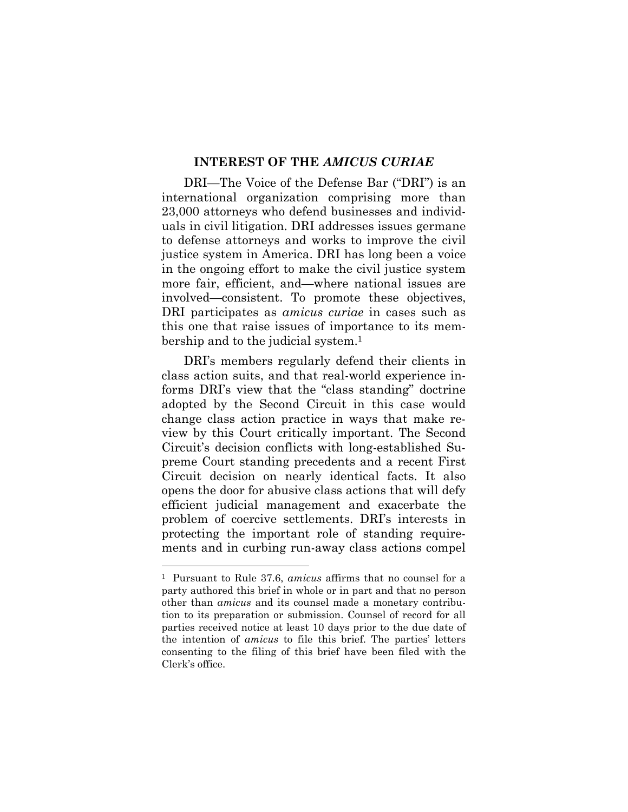#### **INTEREST OF THE** *AMICUS CURIAE*

DRI—The Voice of the Defense Bar ("DRI") is an international organization comprising more than 23,000 attorneys who defend businesses and individuals in civil litigation. DRI addresses issues germane to defense attorneys and works to improve the civil justice system in America. DRI has long been a voice in the ongoing effort to make the civil justice system more fair, efficient, and—where national issues are involved—consistent. To promote these objectives, DRI participates as *amicus curiae* in cases such as this one that raise issues of importance to its membership and to the judicial system.<sup>1</sup>

DRI's members regularly defend their clients in class action suits, and that real-world experience informs DRI's view that the "class standing" doctrine adopted by the Second Circuit in this case would change class action practice in ways that make review by this Court critically important. The Second Circuit's decision conflicts with long-established Supreme Court standing precedents and a recent First Circuit decision on nearly identical facts. It also opens the door for abusive class actions that will defy efficient judicial management and exacerbate the problem of coercive settlements. DRI's interests in protecting the important role of standing requirements and in curbing run-away class actions compel

<sup>1</sup> Pursuant to Rule 37.6, *amicus* affirms that no counsel for a party authored this brief in whole or in part and that no person other than *amicus* and its counsel made a monetary contribution to its preparation or submission. Counsel of record for all parties received notice at least 10 days prior to the due date of the intention of *amicus* to file this brief. The parties' letters consenting to the filing of this brief have been filed with the Clerk's office.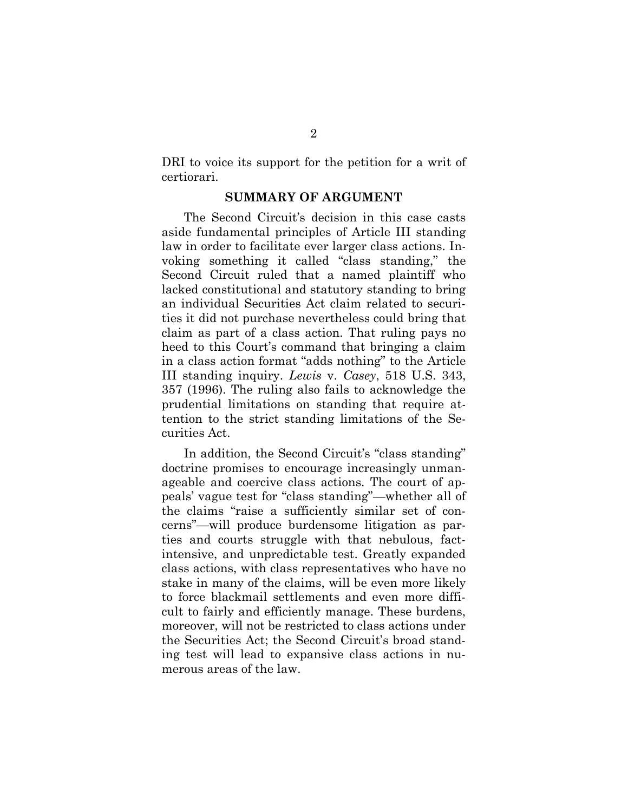DRI to voice its support for the petition for a writ of certiorari.

#### **SUMMARY OF ARGUMENT**

The Second Circuit's decision in this case casts aside fundamental principles of Article III standing law in order to facilitate ever larger class actions. Invoking something it called "class standing," the Second Circuit ruled that a named plaintiff who lacked constitutional and statutory standing to bring an individual Securities Act claim related to securities it did not purchase nevertheless could bring that claim as part of a class action. That ruling pays no heed to this Court's command that bringing a claim in a class action format "adds nothing" to the Article III standing inquiry. *Lewis* v. *Casey*, 518 U.S. 343, 357 (1996). The ruling also fails to acknowledge the prudential limitations on standing that require attention to the strict standing limitations of the Securities Act.

In addition, the Second Circuit's "class standing" doctrine promises to encourage increasingly unmanageable and coercive class actions. The court of appeals' vague test for "class standing"—whether all of the claims "raise a sufficiently similar set of concerns"—will produce burdensome litigation as parties and courts struggle with that nebulous, factintensive, and unpredictable test. Greatly expanded class actions, with class representatives who have no stake in many of the claims, will be even more likely to force blackmail settlements and even more difficult to fairly and efficiently manage. These burdens, moreover, will not be restricted to class actions under the Securities Act; the Second Circuit's broad standing test will lead to expansive class actions in numerous areas of the law.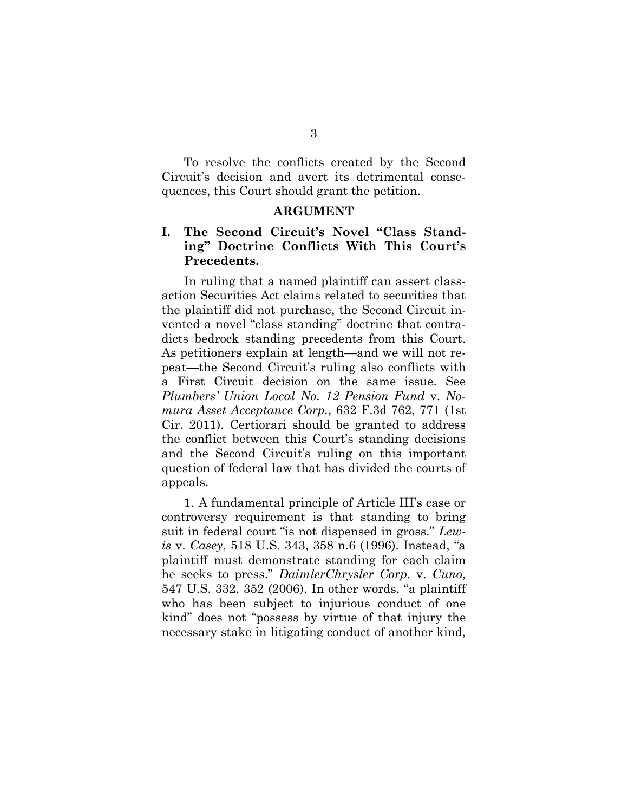To resolve the conflicts created by the Second Circuit's decision and avert its detrimental consequences, this Court should grant the petition.

#### **ARGUMENT**

#### **I. The Second Circuit's Novel "Class Standing" Doctrine Conflicts With This Court's Precedents.**

In ruling that a named plaintiff can assert classaction Securities Act claims related to securities that the plaintiff did not purchase, the Second Circuit invented a novel "class standing" doctrine that contradicts bedrock standing precedents from this Court. As petitioners explain at length—and we will not repeat—the Second Circuit's ruling also conflicts with a First Circuit decision on the same issue. See *Plumbers' Union Local No. 12 Pension Fund* v. *Nomura Asset Acceptance Corp.*, 632 F.3d 762, 771 (1st Cir. 2011). Certiorari should be granted to address the conflict between this Court's standing decisions and the Second Circuit's ruling on this important question of federal law that has divided the courts of appeals.

1. A fundamental principle of Article III's case or controversy requirement is that standing to bring suit in federal court "is not dispensed in gross." *Lewis* v. *Casey*, 518 U.S. 343, 358 n.6 (1996). Instead, "a plaintiff must demonstrate standing for each claim he seeks to press." *DaimlerChrysler Corp.* v. *Cuno*, 547 U.S. 332, 352 (2006). In other words, "a plaintiff who has been subject to injurious conduct of one kind" does not "possess by virtue of that injury the necessary stake in litigating conduct of another kind,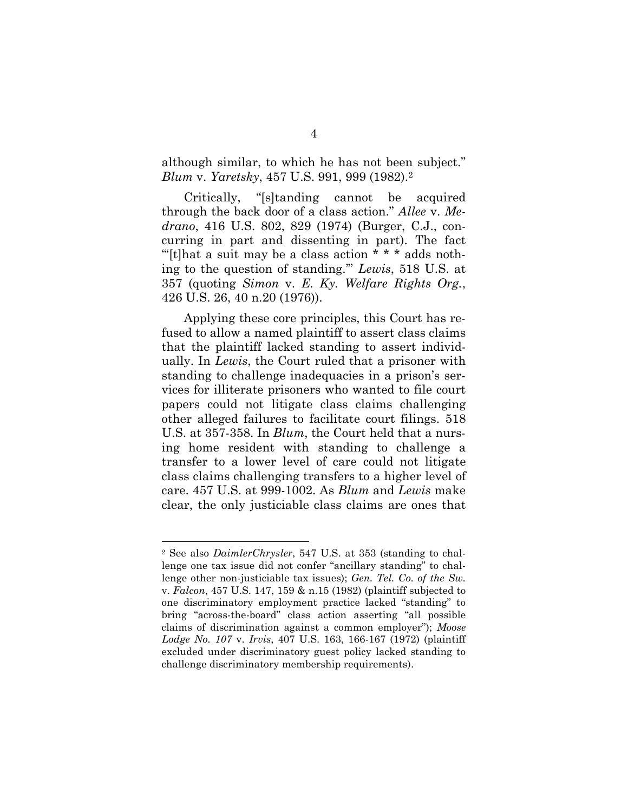although similar, to which he has not been subject." *Blum* v. *Yaretsky*, 457 U.S. 991, 999 (1982).<sup>2</sup>

Critically, "[s]tanding cannot be acquired through the back door of a class action." *Allee* v. *Medrano*, 416 U.S. 802, 829 (1974) (Burger, C.J., concurring in part and dissenting in part). The fact "Itlhat a suit may be a class action  $* * *$  adds nothing to the question of standing.'" *Lewis*, 518 U.S. at 357 (quoting *Simon* v. *E. Ky. Welfare Rights Org.*, 426 U.S. 26, 40 n.20 (1976)).

Applying these core principles, this Court has refused to allow a named plaintiff to assert class claims that the plaintiff lacked standing to assert individually. In *Lewis*, the Court ruled that a prisoner with standing to challenge inadequacies in a prison's services for illiterate prisoners who wanted to file court papers could not litigate class claims challenging other alleged failures to facilitate court filings. 518 U.S. at 357-358. In *Blum*, the Court held that a nursing home resident with standing to challenge a transfer to a lower level of care could not litigate class claims challenging transfers to a higher level of care. 457 U.S. at 999-1002. As *Blum* and *Lewis* make clear, the only justiciable class claims are ones that

<sup>2</sup> See also *DaimlerChrysler*, 547 U.S. at 353 (standing to challenge one tax issue did not confer "ancillary standing" to challenge other non-justiciable tax issues); *Gen. Tel. Co. of the Sw.* v. *Falcon*, 457 U.S. 147, 159 & n.15 (1982) (plaintiff subjected to one discriminatory employment practice lacked "standing" to bring "across-the-board" class action asserting "all possible claims of discrimination against a common employer"); *Moose Lodge No. 107* v. *Irvis*, 407 U.S. 163, 166-167 (1972) (plaintiff excluded under discriminatory guest policy lacked standing to challenge discriminatory membership requirements).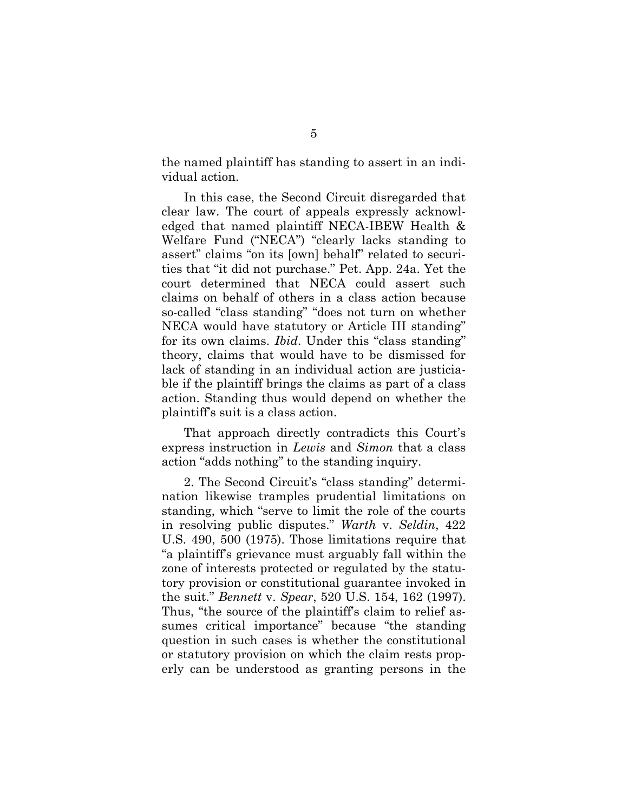the named plaintiff has standing to assert in an individual action.

In this case, the Second Circuit disregarded that clear law. The court of appeals expressly acknowledged that named plaintiff NECA-IBEW Health & Welfare Fund ("NECA") "clearly lacks standing to assert" claims "on its [own] behalf" related to securities that "it did not purchase." Pet. App. 24a. Yet the court determined that NECA could assert such claims on behalf of others in a class action because so-called "class standing" "does not turn on whether NECA would have statutory or Article III standing" for its own claims. *Ibid*. Under this "class standing" theory, claims that would have to be dismissed for lack of standing in an individual action are justiciable if the plaintiff brings the claims as part of a class action. Standing thus would depend on whether the plaintiff's suit is a class action.

That approach directly contradicts this Court's express instruction in *Lewis* and *Simon* that a class action "adds nothing" to the standing inquiry.

2. The Second Circuit's "class standing" determination likewise tramples prudential limitations on standing, which "serve to limit the role of the courts in resolving public disputes." *Warth* v. *Seldin*, 422 U.S. 490, 500 (1975). Those limitations require that "a plaintiff's grievance must arguably fall within the zone of interests protected or regulated by the statutory provision or constitutional guarantee invoked in the suit." *Bennett* v. *Spear*, 520 U.S. 154, 162 (1997). Thus, "the source of the plaintiff's claim to relief assumes critical importance" because "the standing question in such cases is whether the constitutional or statutory provision on which the claim rests properly can be understood as granting persons in the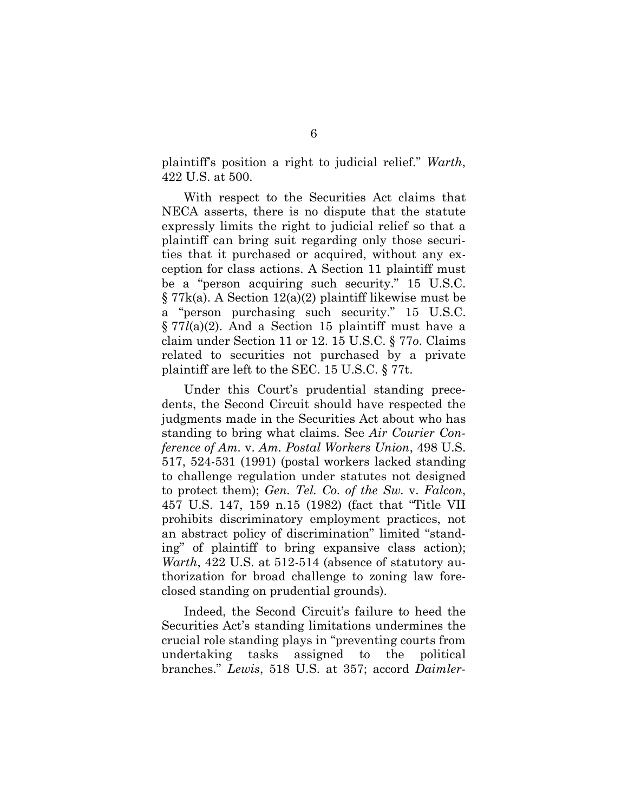plaintiff's position a right to judicial relief." *Warth*, 422 U.S. at 500.

With respect to the Securities Act claims that NECA asserts, there is no dispute that the statute expressly limits the right to judicial relief so that a plaintiff can bring suit regarding only those securities that it purchased or acquired, without any exception for class actions. A Section 11 plaintiff must be a "person acquiring such security." 15 U.S.C. § 77k(a). A Section 12(a)(2) plaintiff likewise must be a "person purchasing such security." 15 U.S.C. § 77*l*(a)(2). And a Section 15 plaintiff must have a claim under Section 11 or 12. 15 U.S.C. § 77*o*. Claims related to securities not purchased by a private plaintiff are left to the SEC. 15 U.S.C. § 77t.

Under this Court's prudential standing precedents, the Second Circuit should have respected the judgments made in the Securities Act about who has standing to bring what claims. See *Air Courier Conference of Am.* v. *Am. Postal Workers Union*, 498 U.S. 517, 524-531 (1991) (postal workers lacked standing to challenge regulation under statutes not designed to protect them); *Gen. Tel. Co. of the Sw.* v. *Falcon*, 457 U.S. 147, 159 n.15 (1982) (fact that "Title VII prohibits discriminatory employment practices, not an abstract policy of discrimination" limited "standing" of plaintiff to bring expansive class action); *Warth*, 422 U.S. at 512-514 (absence of statutory authorization for broad challenge to zoning law foreclosed standing on prudential grounds).

Indeed, the Second Circuit's failure to heed the Securities Act's standing limitations undermines the crucial role standing plays in "preventing courts from undertaking tasks assigned to the political branches." *Lewis*, 518 U.S. at 357; accord *Daimler-*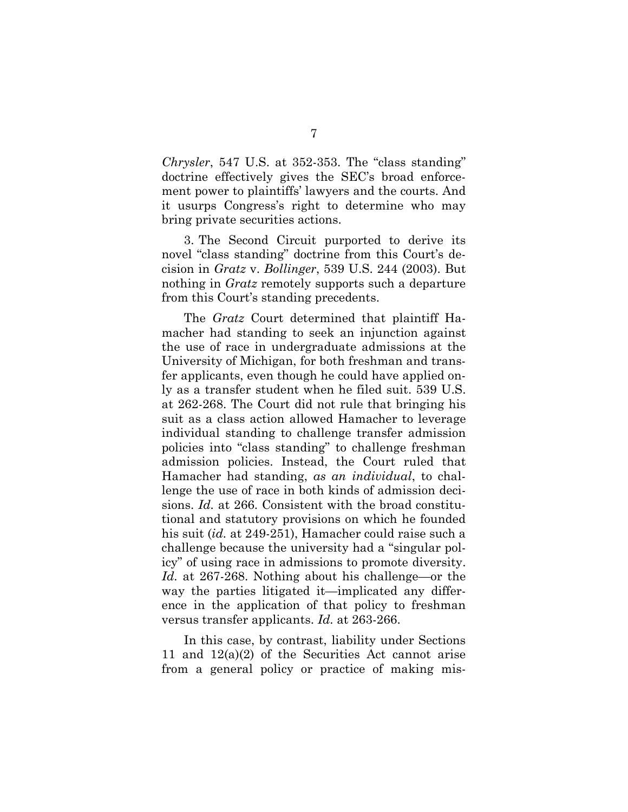*Chrysler*, 547 U.S. at 352-353. The "class standing" doctrine effectively gives the SEC's broad enforcement power to plaintiffs' lawyers and the courts. And it usurps Congress's right to determine who may bring private securities actions.

3. The Second Circuit purported to derive its novel "class standing" doctrine from this Court's decision in *Gratz* v. *Bollinger*, 539 U.S. 244 (2003). But nothing in *Gratz* remotely supports such a departure from this Court's standing precedents.

The *Gratz* Court determined that plaintiff Hamacher had standing to seek an injunction against the use of race in undergraduate admissions at the University of Michigan, for both freshman and transfer applicants, even though he could have applied only as a transfer student when he filed suit. 539 U.S. at 262-268. The Court did not rule that bringing his suit as a class action allowed Hamacher to leverage individual standing to challenge transfer admission policies into "class standing" to challenge freshman admission policies. Instead, the Court ruled that Hamacher had standing, *as an individual*, to challenge the use of race in both kinds of admission decisions. *Id.* at 266. Consistent with the broad constitutional and statutory provisions on which he founded his suit (*id.* at 249-251), Hamacher could raise such a challenge because the university had a "singular policy" of using race in admissions to promote diversity. *Id.* at 267-268. Nothing about his challenge—or the way the parties litigated it—implicated any difference in the application of that policy to freshman versus transfer applicants. *Id.* at 263-266.

In this case, by contrast, liability under Sections 11 and 12(a)(2) of the Securities Act cannot arise from a general policy or practice of making mis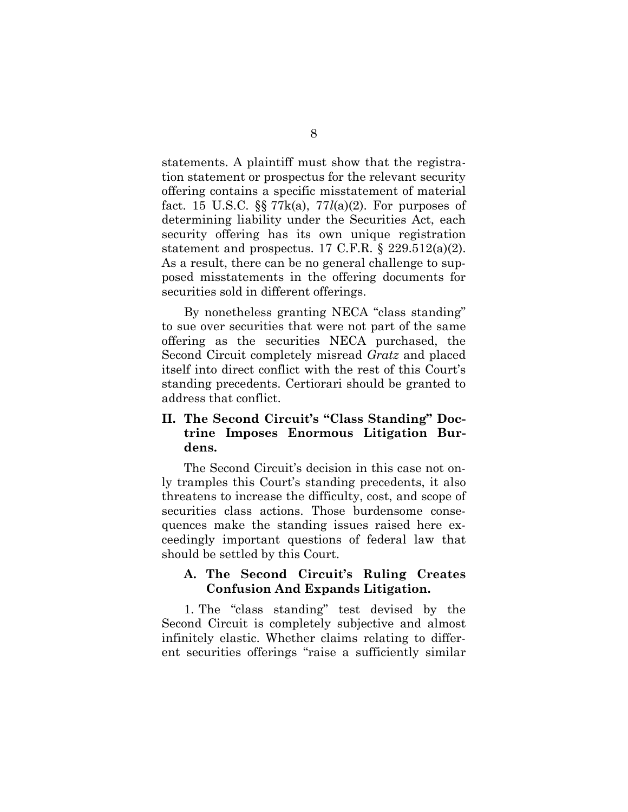statements. A plaintiff must show that the registration statement or prospectus for the relevant security offering contains a specific misstatement of material fact. 15 U.S.C. §§ 77k(a), 77*l*(a)(2). For purposes of determining liability under the Securities Act, each security offering has its own unique registration statement and prospectus. 17 C.F.R.  $\S$  229.512(a)(2). As a result, there can be no general challenge to supposed misstatements in the offering documents for securities sold in different offerings.

By nonetheless granting NECA "class standing" to sue over securities that were not part of the same offering as the securities NECA purchased, the Second Circuit completely misread *Gratz* and placed itself into direct conflict with the rest of this Court's standing precedents. Certiorari should be granted to address that conflict.

#### **II. The Second Circuit's "Class Standing" Doctrine Imposes Enormous Litigation Burdens.**

The Second Circuit's decision in this case not only tramples this Court's standing precedents, it also threatens to increase the difficulty, cost, and scope of securities class actions. Those burdensome consequences make the standing issues raised here exceedingly important questions of federal law that should be settled by this Court.

#### **A. The Second Circuit's Ruling Creates Confusion And Expands Litigation.**

1. The "class standing" test devised by the Second Circuit is completely subjective and almost infinitely elastic. Whether claims relating to different securities offerings "raise a sufficiently similar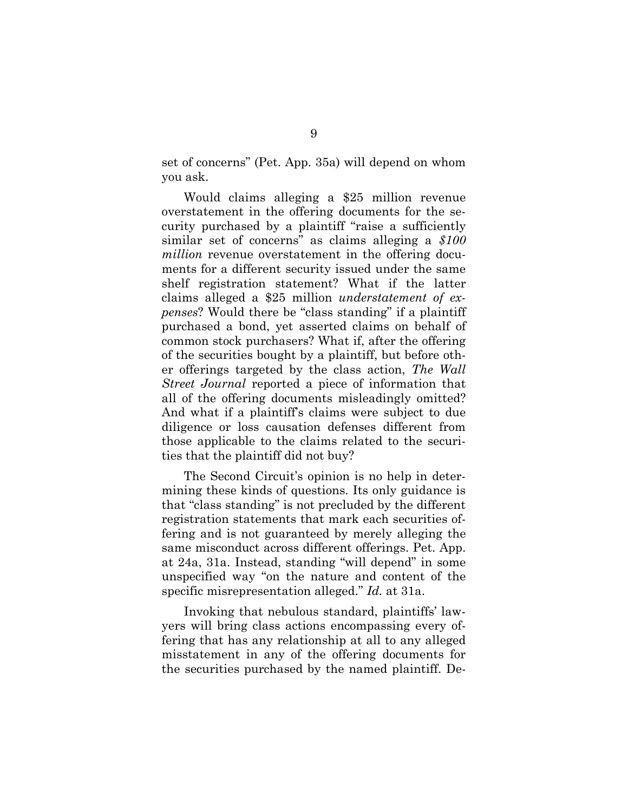set of concerns" (Pet. App. 35a) will depend on whom you ask.

Would claims alleging a \$25 million revenue overstatement in the offering documents for the security purchased by a plaintiff "raise a sufficiently similar set of concerns" as claims alleging a *\$100 million* revenue overstatement in the offering documents for a different security issued under the same shelf registration statement? What if the latter claims alleged a \$25 million *understatement of expenses*? Would there be "class standing" if a plaintiff purchased a bond, yet asserted claims on behalf of common stock purchasers? What if, after the offering of the securities bought by a plaintiff, but before other offerings targeted by the class action, *The Wall Street Journal* reported a piece of information that all of the offering documents misleadingly omitted? And what if a plaintiff's claims were subject to due diligence or loss causation defenses different from those applicable to the claims related to the securities that the plaintiff did not buy?

The Second Circuit's opinion is no help in determining these kinds of questions. Its only guidance is that "class standing" is not precluded by the different registration statements that mark each securities offering and is not guaranteed by merely alleging the same misconduct across different offerings. Pet. App. at 24a, 31a. Instead, standing "will depend" in some unspecified way "on the nature and content of the specific misrepresentation alleged." *Id.* at 31a.

Invoking that nebulous standard, plaintiffs' lawyers will bring class actions encompassing every offering that has any relationship at all to any alleged misstatement in any of the offering documents for the securities purchased by the named plaintiff. De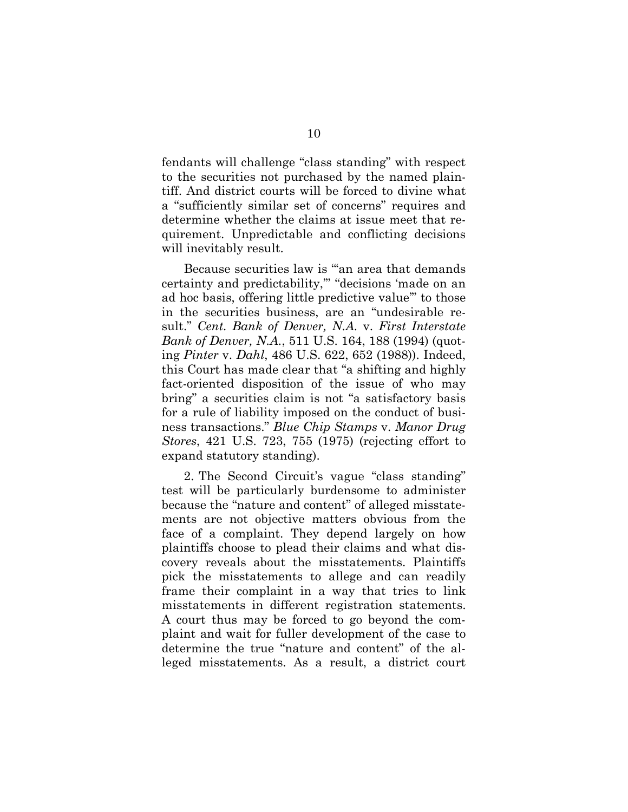fendants will challenge "class standing" with respect to the securities not purchased by the named plaintiff. And district courts will be forced to divine what a "sufficiently similar set of concerns" requires and determine whether the claims at issue meet that requirement. Unpredictable and conflicting decisions will inevitably result.

Because securities law is "'an area that demands certainty and predictability,'" "decisions 'made on an ad hoc basis, offering little predictive value'" to those in the securities business, are an "undesirable result." *Cent. Bank of Denver, N.A.* v. *First Interstate Bank of Denver, N.A.*, 511 U.S. 164, 188 (1994) (quoting *Pinter* v. *Dahl*, 486 U.S. 622, 652 (1988)). Indeed, this Court has made clear that "a shifting and highly fact-oriented disposition of the issue of who may bring" a securities claim is not "a satisfactory basis for a rule of liability imposed on the conduct of business transactions." *Blue Chip Stamps* v. *Manor Drug Stores*, 421 U.S. 723, 755 (1975) (rejecting effort to expand statutory standing).

2. The Second Circuit's vague "class standing" test will be particularly burdensome to administer because the "nature and content" of alleged misstatements are not objective matters obvious from the face of a complaint. They depend largely on how plaintiffs choose to plead their claims and what discovery reveals about the misstatements. Plaintiffs pick the misstatements to allege and can readily frame their complaint in a way that tries to link misstatements in different registration statements. A court thus may be forced to go beyond the complaint and wait for fuller development of the case to determine the true "nature and content" of the alleged misstatements. As a result, a district court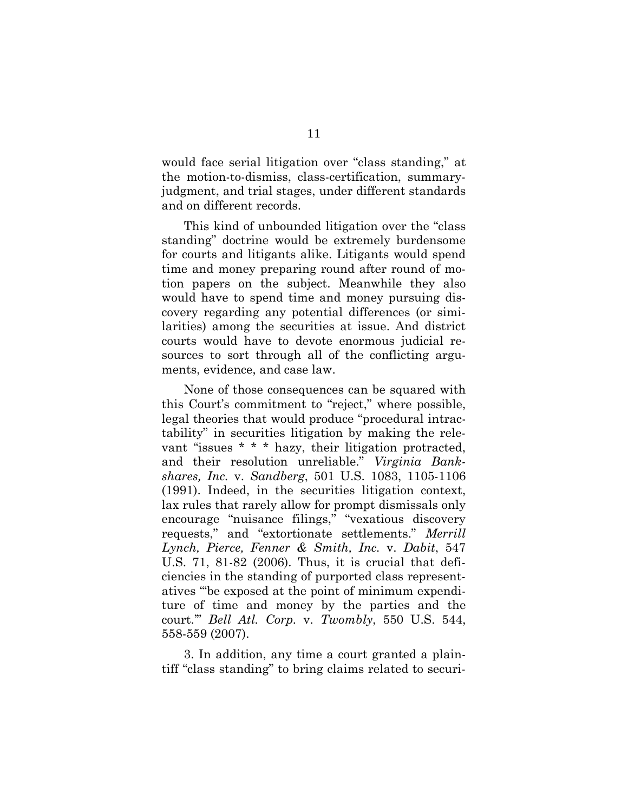would face serial litigation over "class standing," at the motion-to-dismiss, class-certification, summaryjudgment, and trial stages, under different standards and on different records.

This kind of unbounded litigation over the "class standing" doctrine would be extremely burdensome for courts and litigants alike. Litigants would spend time and money preparing round after round of motion papers on the subject. Meanwhile they also would have to spend time and money pursuing discovery regarding any potential differences (or similarities) among the securities at issue. And district courts would have to devote enormous judicial resources to sort through all of the conflicting arguments, evidence, and case law.

None of those consequences can be squared with this Court's commitment to "reject," where possible, legal theories that would produce "procedural intractability" in securities litigation by making the relevant "issues \* \* \* hazy, their litigation protracted, and their resolution unreliable." *Virginia Bankshares, Inc.* v. *Sandberg*, 501 U.S. 1083, 1105-1106 (1991). Indeed, in the securities litigation context, lax rules that rarely allow for prompt dismissals only encourage "nuisance filings," "vexatious discovery requests," and "extortionate settlements." *Merrill Lynch, Pierce, Fenner & Smith, Inc.* v. *Dabit*, 547 U.S. 71, 81-82 (2006). Thus, it is crucial that deficiencies in the standing of purported class representatives "'be exposed at the point of minimum expenditure of time and money by the parties and the court.'" *Bell Atl. Corp.* v. *Twombly*, 550 U.S. 544, 558-559 (2007).

3. In addition, any time a court granted a plaintiff "class standing" to bring claims related to securi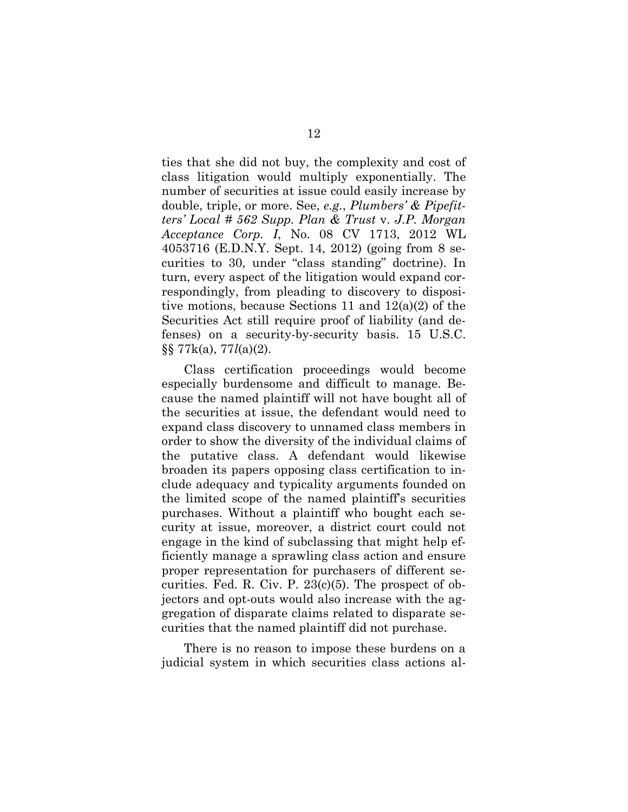ties that she did not buy, the complexity and cost of class litigation would multiply exponentially. The number of securities at issue could easily increase by double, triple, or more. See, *e.g.*, *Plumbers' & Pipefitters' Local # 562 Supp. Plan & Trust* v. *J.P. Morgan Acceptance Corp. I*, No. 08 CV 1713, 2012 WL 4053716 (E.D.N.Y. Sept. 14, 2012) (going from 8 securities to 30, under "class standing" doctrine). In turn, every aspect of the litigation would expand correspondingly, from pleading to discovery to dispositive motions, because Sections 11 and 12(a)(2) of the Securities Act still require proof of liability (and defenses) on a security-by-security basis. 15 U.S.C. §§ 77k(a), 77*l*(a)(2).

Class certification proceedings would become especially burdensome and difficult to manage. Because the named plaintiff will not have bought all of the securities at issue, the defendant would need to expand class discovery to unnamed class members in order to show the diversity of the individual claims of the putative class. A defendant would likewise broaden its papers opposing class certification to include adequacy and typicality arguments founded on the limited scope of the named plaintiff's securities purchases. Without a plaintiff who bought each security at issue, moreover, a district court could not engage in the kind of subclassing that might help efficiently manage a sprawling class action and ensure proper representation for purchasers of different securities. Fed. R. Civ. P.  $23(c)(5)$ . The prospect of objectors and opt-outs would also increase with the aggregation of disparate claims related to disparate securities that the named plaintiff did not purchase.

There is no reason to impose these burdens on a judicial system in which securities class actions al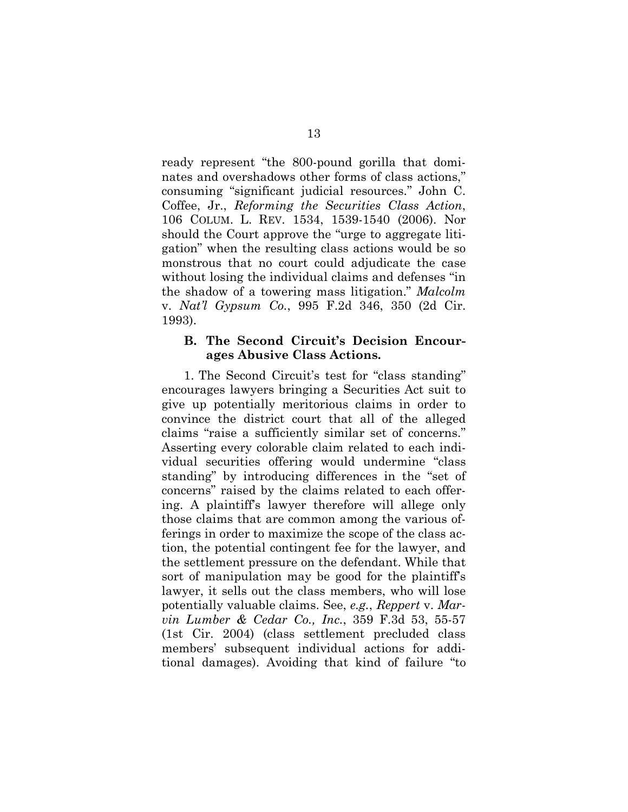ready represent "the 800-pound gorilla that dominates and overshadows other forms of class actions," consuming "significant judicial resources." John C. Coffee, Jr., *Reforming the Securities Class Action*, 106 COLUM. L. REV. 1534, 1539-1540 (2006). Nor should the Court approve the "urge to aggregate litigation" when the resulting class actions would be so monstrous that no court could adjudicate the case without losing the individual claims and defenses "in the shadow of a towering mass litigation." *Malcolm* v. *Nat'l Gypsum Co.*, 995 F.2d 346, 350 (2d Cir. 1993).

#### **B. The Second Circuit's Decision Encourages Abusive Class Actions.**

1. The Second Circuit's test for "class standing" encourages lawyers bringing a Securities Act suit to give up potentially meritorious claims in order to convince the district court that all of the alleged claims "raise a sufficiently similar set of concerns." Asserting every colorable claim related to each individual securities offering would undermine "class standing" by introducing differences in the "set of concerns" raised by the claims related to each offering. A plaintiff's lawyer therefore will allege only those claims that are common among the various offerings in order to maximize the scope of the class action, the potential contingent fee for the lawyer, and the settlement pressure on the defendant. While that sort of manipulation may be good for the plaintiff's lawyer, it sells out the class members, who will lose potentially valuable claims. See, *e.g.*, *Reppert* v. *Marvin Lumber & Cedar Co., Inc.*, 359 F.3d 53, 55-57 (1st Cir. 2004) (class settlement precluded class members' subsequent individual actions for additional damages). Avoiding that kind of failure "to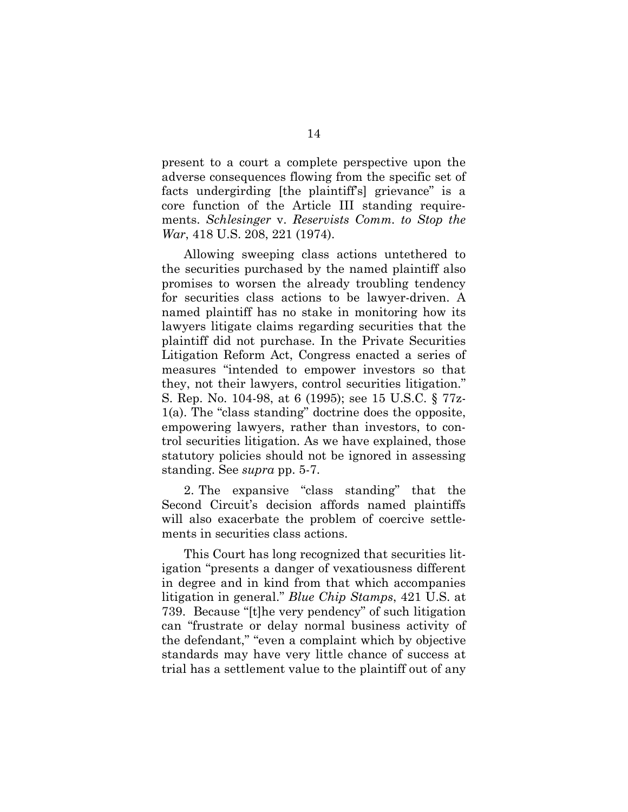present to a court a complete perspective upon the adverse consequences flowing from the specific set of facts undergirding [the plaintiff's] grievance" is a core function of the Article III standing requirements. *Schlesinger* v. *Reservists Comm. to Stop the War*, 418 U.S. 208, 221 (1974).

Allowing sweeping class actions untethered to the securities purchased by the named plaintiff also promises to worsen the already troubling tendency for securities class actions to be lawyer-driven. A named plaintiff has no stake in monitoring how its lawyers litigate claims regarding securities that the plaintiff did not purchase. In the Private Securities Litigation Reform Act, Congress enacted a series of measures "intended to empower investors so that they, not their lawyers, control securities litigation." S. Rep. No. 104-98, at 6 (1995); see 15 U.S.C. § 77z-1(a). The "class standing" doctrine does the opposite, empowering lawyers, rather than investors, to control securities litigation. As we have explained, those statutory policies should not be ignored in assessing standing. See *supra* pp. 5-7.

2. The expansive "class standing" that the Second Circuit's decision affords named plaintiffs will also exacerbate the problem of coercive settlements in securities class actions.

This Court has long recognized that securities litigation "presents a danger of vexatiousness different in degree and in kind from that which accompanies litigation in general." *Blue Chip Stamps*, 421 U.S. at 739. Because "[t]he very pendency" of such litigation can "frustrate or delay normal business activity of the defendant," "even a complaint which by objective standards may have very little chance of success at trial has a settlement value to the plaintiff out of any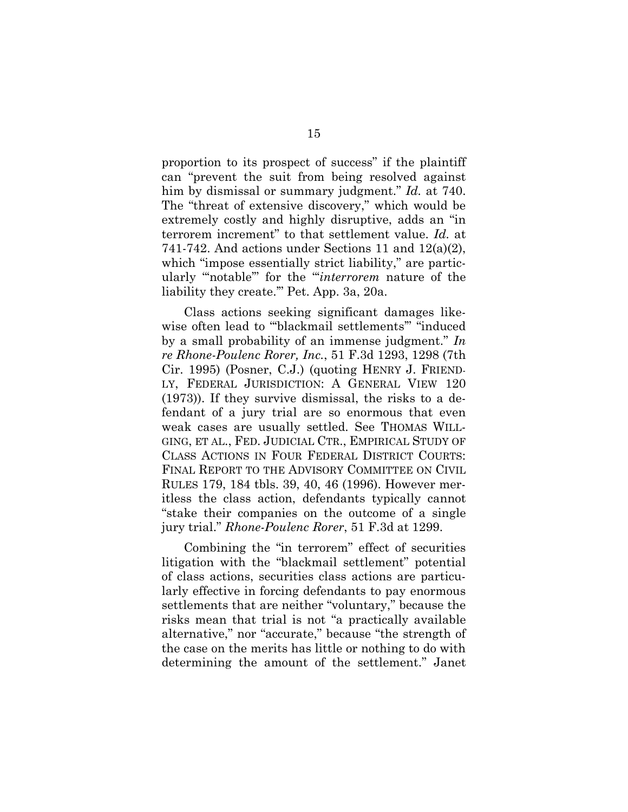proportion to its prospect of success" if the plaintiff can "prevent the suit from being resolved against him by dismissal or summary judgment." *Id.* at 740. The "threat of extensive discovery," which would be extremely costly and highly disruptive, adds an "in terrorem increment" to that settlement value. *Id.* at 741-742. And actions under Sections 11 and  $12(a)(2)$ , which "impose essentially strict liability," are particularly "'notable'" for the "'*interrorem* nature of the liability they create.'" Pet. App. 3a, 20a.

Class actions seeking significant damages likewise often lead to "blackmail settlements" "induced by a small probability of an immense judgment." *In re Rhone-Poulenc Rorer, Inc.*, 51 F.3d 1293, 1298 (7th Cir. 1995) (Posner, C.J.) (quoting HENRY J. FRIEND-LY, FEDERAL JURISDICTION: A GENERAL VIEW 120 (1973)). If they survive dismissal, the risks to a defendant of a jury trial are so enormous that even weak cases are usually settled. See THOMAS WILL-GING, ET AL., FED. JUDICIAL CTR., EMPIRICAL STUDY OF CLASS ACTIONS IN FOUR FEDERAL DISTRICT COURTS: FINAL REPORT TO THE ADVISORY COMMITTEE ON CIVIL RULES 179, 184 tbls. 39, 40, 46 (1996). However meritless the class action, defendants typically cannot "stake their companies on the outcome of a single jury trial." *Rhone-Poulenc Rorer*, 51 F.3d at 1299.

Combining the "in terrorem" effect of securities litigation with the "blackmail settlement" potential of class actions, securities class actions are particularly effective in forcing defendants to pay enormous settlements that are neither "voluntary," because the risks mean that trial is not "a practically available alternative," nor "accurate," because "the strength of the case on the merits has little or nothing to do with determining the amount of the settlement." Janet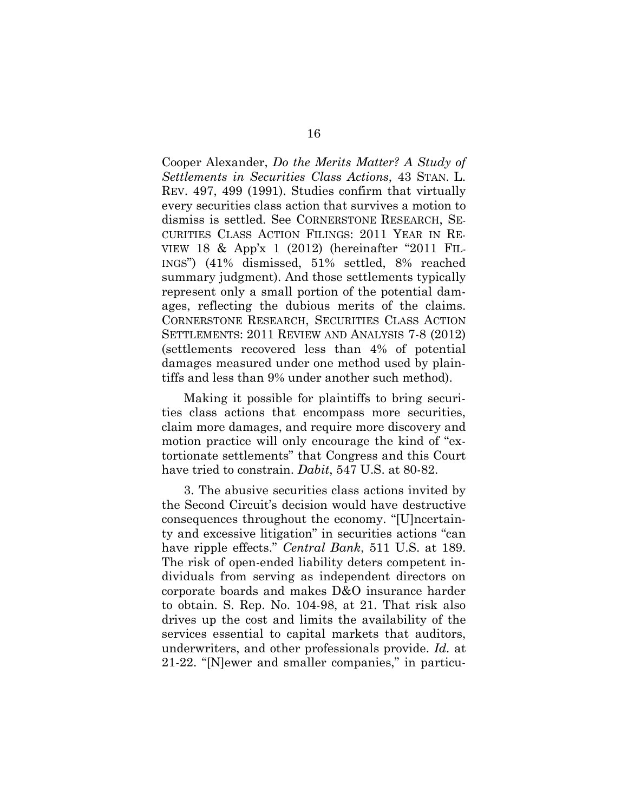Cooper Alexander, *Do the Merits Matter? A Study of Settlements in Securities Class Actions*, 43 STAN. L. REV. 497, 499 (1991). Studies confirm that virtually every securities class action that survives a motion to dismiss is settled. See CORNERSTONE RESEARCH, SE-CURITIES CLASS ACTION FILINGS: 2011 YEAR IN RE-VIEW 18 & App'x 1 (2012) (hereinafter "2011 FIL-INGS") (41% dismissed, 51% settled, 8% reached summary judgment). And those settlements typically represent only a small portion of the potential damages, reflecting the dubious merits of the claims. CORNERSTONE RESEARCH, SECURITIES CLASS ACTION SETTLEMENTS: 2011 REVIEW AND ANALYSIS 7-8 (2012) (settlements recovered less than 4% of potential damages measured under one method used by plaintiffs and less than 9% under another such method).

Making it possible for plaintiffs to bring securities class actions that encompass more securities, claim more damages, and require more discovery and motion practice will only encourage the kind of "extortionate settlements" that Congress and this Court have tried to constrain. *Dabit*, 547 U.S. at 80-82.

3. The abusive securities class actions invited by the Second Circuit's decision would have destructive consequences throughout the economy. "[U]ncertainty and excessive litigation" in securities actions "can have ripple effects." *Central Bank*, 511 U.S. at 189. The risk of open-ended liability deters competent individuals from serving as independent directors on corporate boards and makes D&O insurance harder to obtain. S. Rep. No. 104-98, at 21. That risk also drives up the cost and limits the availability of the services essential to capital markets that auditors, underwriters, and other professionals provide. *Id.* at 21-22. "[N]ewer and smaller companies," in particu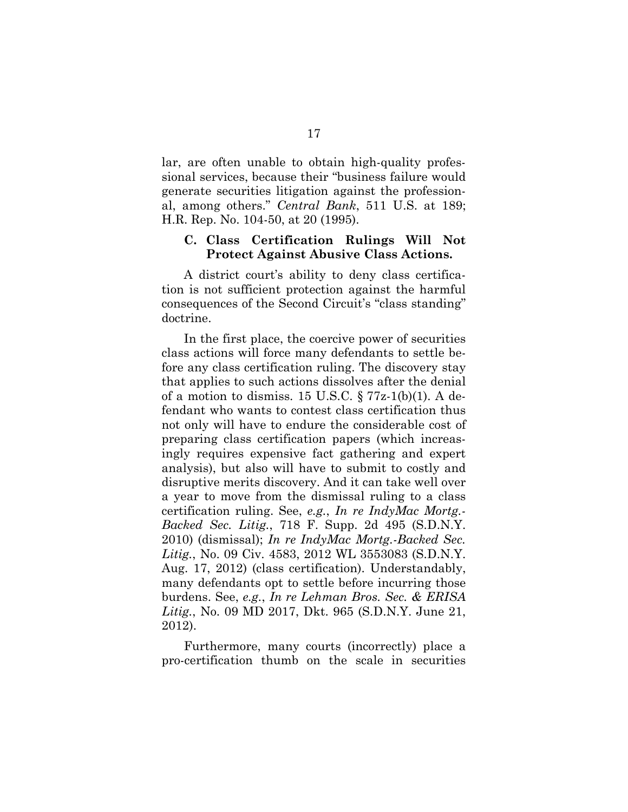lar, are often unable to obtain high-quality professional services, because their "business failure would generate securities litigation against the professional, among others." *Central Bank*, 511 U.S. at 189; H.R. Rep. No. 104-50, at 20 (1995).

#### **C. Class Certification Rulings Will Not Protect Against Abusive Class Actions.**

A district court's ability to deny class certification is not sufficient protection against the harmful consequences of the Second Circuit's "class standing" doctrine.

In the first place, the coercive power of securities class actions will force many defendants to settle before any class certification ruling. The discovery stay that applies to such actions dissolves after the denial of a motion to dismiss. 15 U.S.C.  $\S 77z-1(b)(1)$ . A defendant who wants to contest class certification thus not only will have to endure the considerable cost of preparing class certification papers (which increasingly requires expensive fact gathering and expert analysis), but also will have to submit to costly and disruptive merits discovery. And it can take well over a year to move from the dismissal ruling to a class certification ruling. See, *e.g.*, *In re IndyMac Mortg.- Backed Sec. Litig.*, 718 F. Supp. 2d 495 (S.D.N.Y. 2010) (dismissal); *In re IndyMac Mortg.-Backed Sec. Litig.*, No. 09 Civ. 4583, 2012 WL 3553083 (S.D.N.Y. Aug. 17, 2012) (class certification). Understandably, many defendants opt to settle before incurring those burdens. See, *e.g.*, *In re Lehman Bros. Sec. & ERISA Litig.*, No. 09 MD 2017, Dkt. 965 (S.D.N.Y. June 21, 2012).

Furthermore, many courts (incorrectly) place a pro-certification thumb on the scale in securities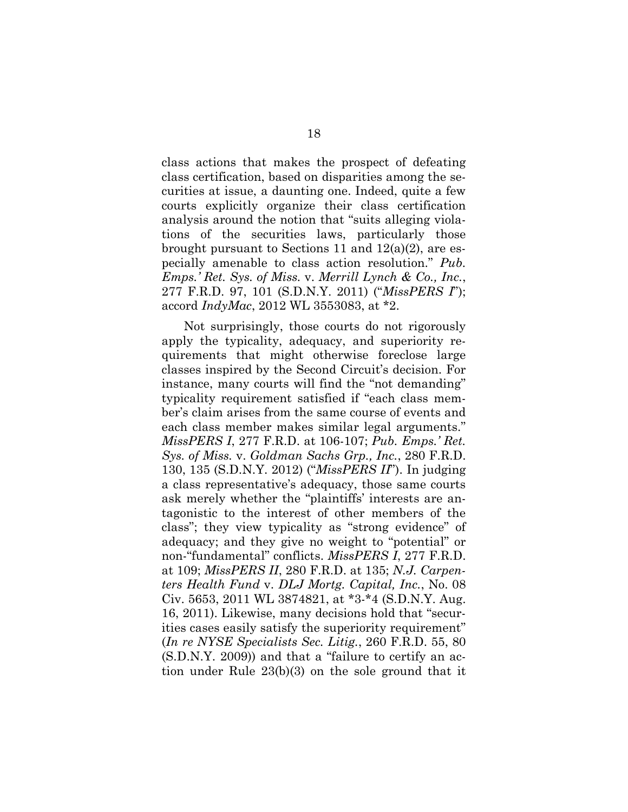class actions that makes the prospect of defeating class certification, based on disparities among the securities at issue, a daunting one. Indeed, quite a few courts explicitly organize their class certification analysis around the notion that "suits alleging violations of the securities laws, particularly those brought pursuant to Sections 11 and 12(a)(2), are especially amenable to class action resolution." *Pub. Emps.' Ret. Sys. of Miss.* v. *Merrill Lynch & Co., Inc.*, 277 F.R.D. 97, 101 (S.D.N.Y. 2011) ("*MissPERS I*"); accord *IndyMac*, 2012 WL 3553083, at \*2.

Not surprisingly, those courts do not rigorously apply the typicality, adequacy, and superiority requirements that might otherwise foreclose large classes inspired by the Second Circuit's decision. For instance, many courts will find the "not demanding" typicality requirement satisfied if "each class member's claim arises from the same course of events and each class member makes similar legal arguments." *MissPERS I*, 277 F.R.D. at 106-107; *Pub. Emps.' Ret. Sys. of Miss.* v. *Goldman Sachs Grp., Inc.*, 280 F.R.D. 130, 135 (S.D.N.Y. 2012) ("*MissPERS II*"). In judging a class representative's adequacy, those same courts ask merely whether the "plaintiffs' interests are antagonistic to the interest of other members of the class"; they view typicality as "strong evidence" of adequacy; and they give no weight to "potential" or non-"fundamental" conflicts. *MissPERS I*, 277 F.R.D. at 109; *MissPERS II*, 280 F.R.D. at 135; *N.J. Carpenters Health Fund* v. *DLJ Mortg. Capital, Inc.*, No. 08 Civ. 5653, 2011 WL 3874821, at \*3-\*4 (S.D.N.Y. Aug. 16, 2011). Likewise, many decisions hold that "securities cases easily satisfy the superiority requirement" (*In re NYSE Specialists Sec. Litig.*, 260 F.R.D. 55, 80 (S.D.N.Y. 2009)) and that a "failure to certify an action under Rule 23(b)(3) on the sole ground that it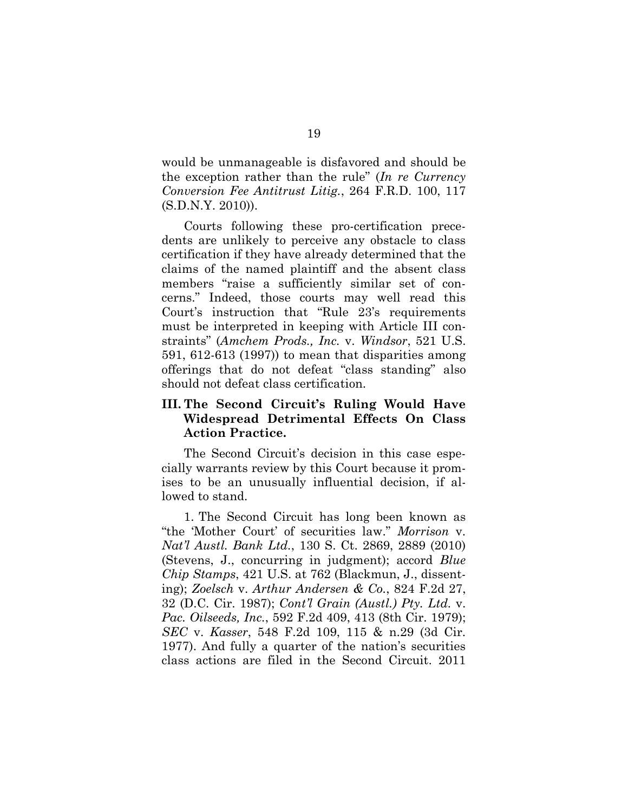would be unmanageable is disfavored and should be the exception rather than the rule" (*In re Currency Conversion Fee Antitrust Litig.*, 264 F.R.D. 100, 117 (S.D.N.Y. 2010)).

Courts following these pro-certification precedents are unlikely to perceive any obstacle to class certification if they have already determined that the claims of the named plaintiff and the absent class members "raise a sufficiently similar set of concerns." Indeed, those courts may well read this Court's instruction that "Rule 23's requirements must be interpreted in keeping with Article III constraints" (*Amchem Prods., Inc.* v. *Windsor*, 521 U.S. 591, 612-613 (1997)) to mean that disparities among offerings that do not defeat "class standing" also should not defeat class certification.

#### **III. The Second Circuit's Ruling Would Have Widespread Detrimental Effects On Class Action Practice.**

The Second Circuit's decision in this case especially warrants review by this Court because it promises to be an unusually influential decision, if allowed to stand.

1. The Second Circuit has long been known as "the 'Mother Court' of securities law." *Morrison* v. *Nat'l Austl. Bank Ltd.*, 130 S. Ct. 2869, 2889 (2010) (Stevens, J., concurring in judgment); accord *Blue Chip Stamps*, 421 U.S. at 762 (Blackmun, J., dissenting); *Zoelsch* v. *Arthur Andersen & Co.*, 824 F.2d 27, 32 (D.C. Cir. 1987); *Cont'l Grain (Austl.) Pty. Ltd.* v. *Pac. Oilseeds, Inc.*, 592 F.2d 409, 413 (8th Cir. 1979); *SEC* v. *Kasser*, 548 F.2d 109, 115 & n.29 (3d Cir. 1977). And fully a quarter of the nation's securities class actions are filed in the Second Circuit. 2011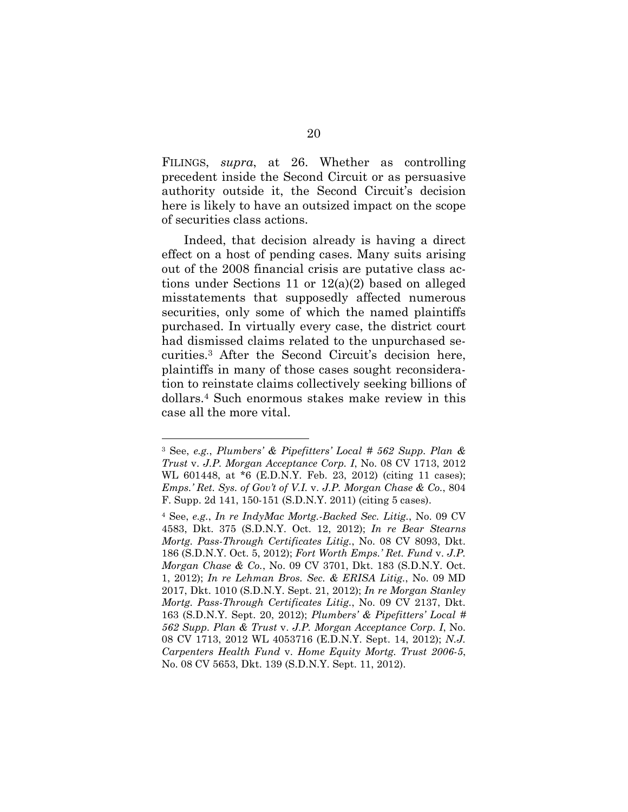FILINGS, *supra*, at 26. Whether as controlling precedent inside the Second Circuit or as persuasive authority outside it, the Second Circuit's decision here is likely to have an outsized impact on the scope of securities class actions.

Indeed, that decision already is having a direct effect on a host of pending cases. Many suits arising out of the 2008 financial crisis are putative class actions under Sections 11 or 12(a)(2) based on alleged misstatements that supposedly affected numerous securities, only some of which the named plaintiffs purchased. In virtually every case, the district court had dismissed claims related to the unpurchased securities.<sup>3</sup> After the Second Circuit's decision here, plaintiffs in many of those cases sought reconsideration to reinstate claims collectively seeking billions of dollars.<sup>4</sup> Such enormous stakes make review in this case all the more vital.

<sup>3</sup> See, *e.g.*, *Plumbers' & Pipefitters' Local # 562 Supp. Plan & Trust* v. *J.P. Morgan Acceptance Corp. I*, No. 08 CV 1713, 2012 WL 601448, at \*6 (E.D.N.Y. Feb. 23, 2012) (citing 11 cases); *Emps.' Ret. Sys. of Gov't of V.I.* v. *J.P. Morgan Chase & Co.*, 804 F. Supp. 2d 141, 150-151 (S.D.N.Y. 2011) (citing 5 cases).

<sup>4</sup> See, *e.g.*, *In re IndyMac Mortg.-Backed Sec. Litig.*, No. 09 CV 4583, Dkt. 375 (S.D.N.Y. Oct. 12, 2012); *In re Bear Stearns Mortg. Pass-Through Certificates Litig.*, No. 08 CV 8093, Dkt. 186 (S.D.N.Y. Oct. 5, 2012); *Fort Worth Emps.' Ret. Fund* v. *J.P. Morgan Chase & Co.*, No. 09 CV 3701, Dkt. 183 (S.D.N.Y. Oct. 1, 2012); *In re Lehman Bros. Sec. & ERISA Litig.*, No. 09 MD 2017, Dkt. 1010 (S.D.N.Y. Sept. 21, 2012); *In re Morgan Stanley Mortg. Pass-Through Certificates Litig.*, No. 09 CV 2137, Dkt. 163 (S.D.N.Y. Sept. 20, 2012); *Plumbers' & Pipefitters' Local # 562 Supp. Plan & Trust* v. *J.P. Morgan Acceptance Corp. I*, No. 08 CV 1713, 2012 WL 4053716 (E.D.N.Y. Sept. 14, 2012); *N.J. Carpenters Health Fund* v. *Home Equity Mortg. Trust 2006-5*, No. 08 CV 5653, Dkt. 139 (S.D.N.Y. Sept. 11, 2012).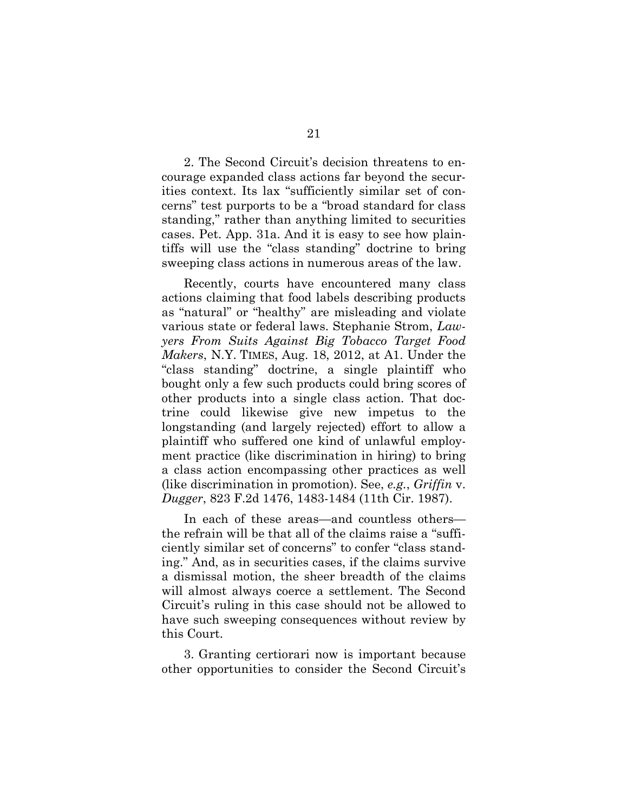2. The Second Circuit's decision threatens to encourage expanded class actions far beyond the securities context. Its lax "sufficiently similar set of concerns" test purports to be a "broad standard for class standing," rather than anything limited to securities cases. Pet. App. 31a. And it is easy to see how plaintiffs will use the "class standing" doctrine to bring sweeping class actions in numerous areas of the law.

Recently, courts have encountered many class actions claiming that food labels describing products as "natural" or "healthy" are misleading and violate various state or federal laws. Stephanie Strom, *Lawyers From Suits Against Big Tobacco Target Food Makers*, N.Y. TIMES, Aug. 18, 2012, at A1. Under the "class standing" doctrine, a single plaintiff who bought only a few such products could bring scores of other products into a single class action. That doctrine could likewise give new impetus to the longstanding (and largely rejected) effort to allow a plaintiff who suffered one kind of unlawful employment practice (like discrimination in hiring) to bring a class action encompassing other practices as well (like discrimination in promotion). See, *e.g.*, *Griffin* v. *Dugger*, 823 F.2d 1476, 1483-1484 (11th Cir. 1987).

In each of these areas—and countless others the refrain will be that all of the claims raise a "sufficiently similar set of concerns" to confer "class standing." And, as in securities cases, if the claims survive a dismissal motion, the sheer breadth of the claims will almost always coerce a settlement. The Second Circuit's ruling in this case should not be allowed to have such sweeping consequences without review by this Court.

3. Granting certiorari now is important because other opportunities to consider the Second Circuit's